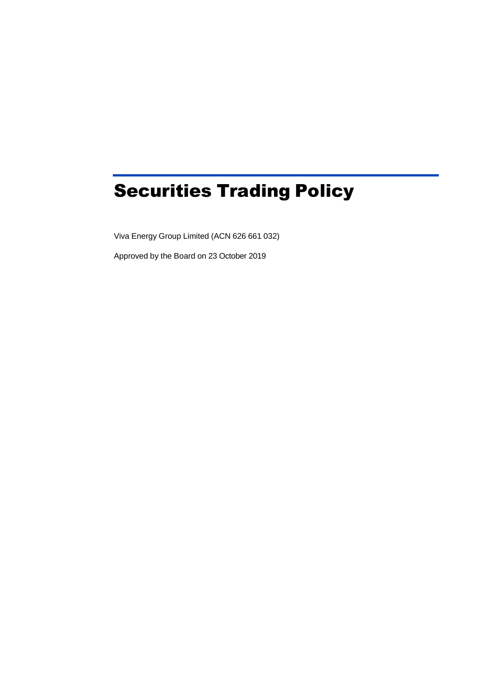# Securities Trading Policy

Viva Energy Group Limited (ACN 626 661 032)

Approved by the Board on 23 October 2019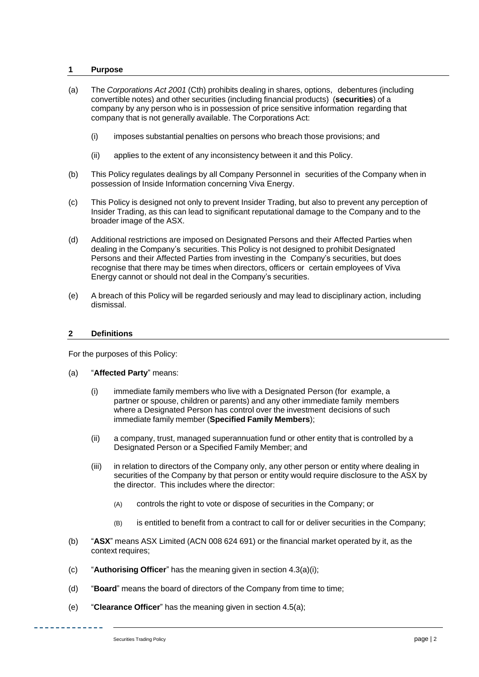## **1 Purpose**

- (a) The *Corporations Act 2001* (Cth) prohibits dealing in shares, options, debentures (including convertible notes) and other securities (including financial products) (**securities**) of a company by any person who is in possession of price sensitive information regarding that company that is not generally available. The Corporations Act:
	- (i) imposes substantial penalties on persons who breach those provisions; and
	- (ii) applies to the extent of any inconsistency between it and this Policy.
- (b) This Policy regulates dealings by all Company Personnel in securities of the Company when in possession of Inside Information concerning Viva Energy.
- (c) This Policy is designed not only to prevent Insider Trading, but also to prevent any perception of Insider Trading, as this can lead to significant reputational damage to the Company and to the broader image of the ASX.
- (d) Additional restrictions are imposed on Designated Persons and their Affected Parties when dealing in the Company's securities. This Policy is not designed to prohibit Designated Persons and their Affected Parties from investing in the Company's securities, but does recognise that there may be times when directors, officers or certain employees of Viva Energy cannot or should not deal in the Company's securities.
- (e) A breach of this Policy will be regarded seriously and may lead to disciplinary action, including dismissal.

## **2 Definitions**

For the purposes of this Policy:

## (a) "**Affected Party**" means:

- (i) immediate family members who live with a Designated Person (for example, a partner or spouse, children or parents) and any other immediate family members where a Designated Person has control over the investment decisions of such immediate family member (**Specified Family Members**);
- (ii) a company, trust, managed superannuation fund or other entity that is controlled by a Designated Person or a Specified Family Member; and
- (iii) in relation to directors of the Company only, any other person or entity where dealing in securities of the Company by that person or entity would require disclosure to the ASX by the director. This includes where the director:
	- (A) controls the right to vote or dispose of securities in the Company; or
	- (B) is entitled to benefit from a contract to call for or deliver securities in the Company;
- (b) "**ASX**" means ASX Limited (ACN 008 624 691) or the financial market operated by it, as the context requires;
- (c) "**Authorising Officer**" has the meaning given in section 4.3(a)(i);
- (d) "**Board**" means the board of directors of the Company from time to time;
- (e) "**Clearance Officer**" has the meaning given in section 4.5(a);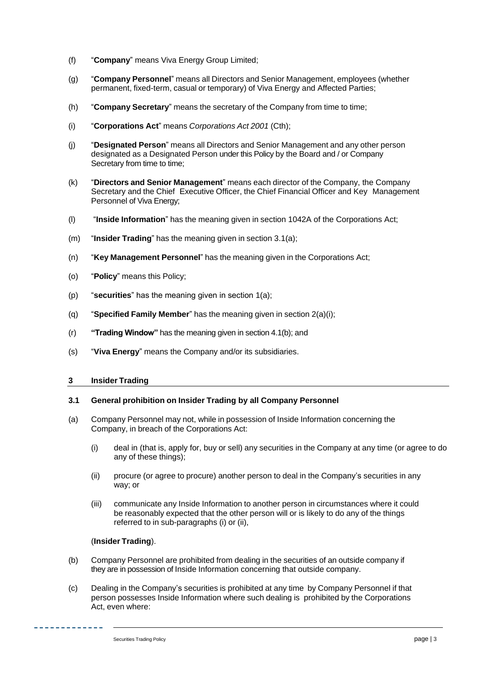- (f) "**Company**" means Viva Energy Group Limited;
- (g) "**Company Personnel**" means all Directors and Senior Management, employees (whether permanent, fixed-term, casual or temporary) of Viva Energy and Affected Parties;
- (h) "**Company Secretary**" means the secretary of the Company from time to time;
- (i) "**Corporations Act**" means *Corporations Act 2001* (Cth);
- (j) "**Designated Person**" means all Directors and Senior Management and any other person designated as a Designated Person under this Policy by the Board and / or Company Secretary from time to time;
- (k) "**Directors and Senior Management**" means each director of the Company, the Company Secretary and the Chief Executive Officer, the Chief Financial Officer and Key Management Personnel of Viva Energy;
- (l) "**Inside Information**" has the meaning given in section 1042A of the Corporations Act;
- (m) "**Insider Trading**" has the meaning given in section 3.1(a);
- (n) "**Key Management Personnel**" has the meaning given in the Corporations Act;
- (o) "**Policy**" means this Policy;
- (p) "**securities**" has the meaning given in section 1(a);
- (q) "**Specified Family Member**" has the meaning given in section 2(a)(i);
- (r) **"Trading Window"** has the meaning given in section 4.1(b); and
- (s) "**Viva Energy**" means the Company and/or its subsidiaries.

## **3 Insider Trading**

## **3.1 General prohibition on Insider Trading by all Company Personnel**

- (a) Company Personnel may not, while in possession of Inside Information concerning the Company, in breach of the Corporations Act:
	- (i) deal in (that is, apply for, buy or sell) any securities in the Company at any time (or agree to do any of these things);
	- (ii) procure (or agree to procure) another person to deal in the Company's securities in any way; or
	- (iii) communicate any Inside Information to another person in circumstances where it could be reasonably expected that the other person will or is likely to do any of the things referred to in sub-paragraphs (i) or (ii),

## (**Insider Trading**).

- (b) Company Personnel are prohibited from dealing in the securities of an outside company if they are in possession of Inside Information concerning that outside company.
- (c) Dealing in the Company's securities is prohibited at any time by Company Personnel if that person possesses Inside Information where such dealing is prohibited by the Corporations Act, even where: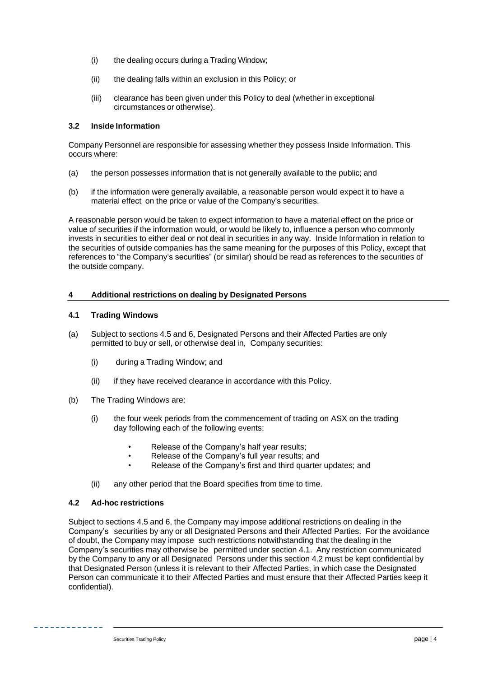- (i) the dealing occurs during a Trading Window;
- (ii) the dealing falls within an exclusion in this Policy; or
- (iii) clearance has been given under this Policy to deal (whether in exceptional circumstances or otherwise).

## **3.2 Inside Information**

Company Personnel are responsible for assessing whether they possess Inside Information. This occurs where:

- (a) the person possesses information that is not generally available to the public; and
- (b) if the information were generally available, a reasonable person would expect it to have a material effect on the price or value of the Company's securities.

A reasonable person would be taken to expect information to have a material effect on the price or value of securities if the information would, or would be likely to, influence a person who commonly invests in securities to either deal or not deal in securities in any way. Inside Information in relation to the securities of outside companies has the same meaning for the purposes of this Policy, except that references to "the Company's securities" (or similar) should be read as references to the securities of the outside company.

# **4 Additional restrictions on dealing by Designated Persons**

## **4.1 Trading Windows**

- (a) Subject to sections 4.5 and 6, Designated Persons and their Affected Parties are only permitted to buy or sell, or otherwise deal in, Company securities:
	- (i) during a Trading Window; and
	- (ii) if they have received clearance in accordance with this Policy.
- (b) The Trading Windows are:
	- (i) the four week periods from the commencement of trading on ASX on the trading day following each of the following events:
		- Release of the Company's half year results;
		- Release of the Company's full year results; and
		- Release of the Company's first and third quarter updates; and
	- (ii) any other period that the Board specifies from time to time.

# **4.2 Ad-hoc restrictions**

Subject to sections 4.5 and 6, the Company may impose additional restrictions on dealing in the Company's securities by any or all Designated Persons and their Affected Parties. For the avoidance of doubt, the Company may impose such restrictions notwithstanding that the dealing in the Company's securities may otherwise be permitted under section 4.1. Any restriction communicated by the Company to any or all Designated Persons under this section 4.2 must be kept confidential by that Designated Person (unless it is relevant to their Affected Parties, in which case the Designated Person can communicate it to their Affected Parties and must ensure that their Affected Parties keep it confidential).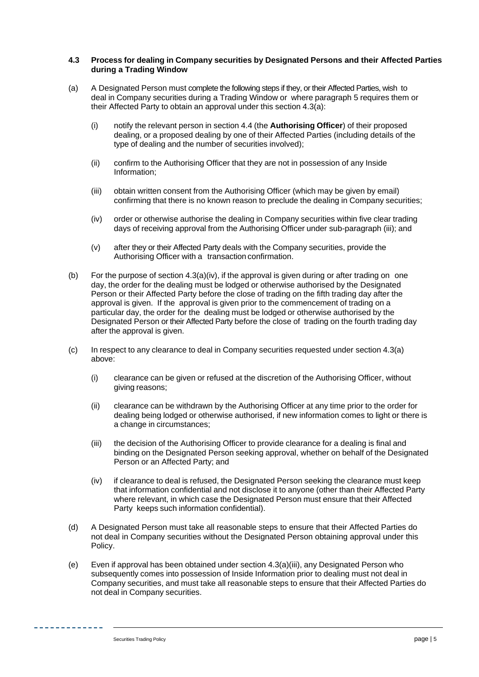## **4.3 Process for dealing in Company securities by Designated Persons and their Affected Parties during a Trading Window**

- (a) A Designated Person must complete the following steps if they, or their Affected Parties, wish to deal in Company securities during a Trading Window or where paragraph 5 requires them or their Affected Party to obtain an approval under this section 4.3(a):
	- (i) notify the relevant person in section 4.4 (the **Authorising Officer**) of their proposed dealing, or a proposed dealing by one of their Affected Parties (including details of the type of dealing and the number of securities involved);
	- (ii) confirm to the Authorising Officer that they are not in possession of any Inside Information;
	- (iii) obtain written consent from the Authorising Officer (which may be given by email) confirming that there is no known reason to preclude the dealing in Company securities;
	- (iv) order or otherwise authorise the dealing in Company securities within five clear trading days of receiving approval from the Authorising Officer under sub-paragraph (iii); and
	- (v) after they or their Affected Party deals with the Company securities, provide the Authorising Officer with a transaction confirmation.
- (b) For the purpose of section  $4.3(a)(iv)$ , if the approval is given during or after trading on one day, the order for the dealing must be lodged or otherwise authorised by the Designated Person or their Affected Party before the close of trading on the fifth trading day after the approval is given. If the approval is given prior to the commencement of trading on a particular day, the order for the dealing must be lodged or otherwise authorised by the Designated Person or their Affected Party before the close of trading on the fourth trading day after the approval is given.
- (c) In respect to any clearance to deal in Company securities requested under section 4.3(a) above:
	- (i) clearance can be given or refused at the discretion of the Authorising Officer, without giving reasons;
	- (ii) clearance can be withdrawn by the Authorising Officer at any time prior to the order for dealing being lodged or otherwise authorised, if new information comes to light or there is a change in circumstances;
	- (iii) the decision of the Authorising Officer to provide clearance for a dealing is final and binding on the Designated Person seeking approval, whether on behalf of the Designated Person or an Affected Party; and
	- (iv) if clearance to deal is refused, the Designated Person seeking the clearance must keep that information confidential and not disclose it to anyone (other than their Affected Party where relevant, in which case the Designated Person must ensure that their Affected Party keeps such information confidential).
- (d) A Designated Person must take all reasonable steps to ensure that their Affected Parties do not deal in Company securities without the Designated Person obtaining approval under this Policy.
- (e) Even if approval has been obtained under section 4.3(a)(iii), any Designated Person who subsequently comes into possession of Inside Information prior to dealing must not deal in Company securities, and must take all reasonable steps to ensure that their Affected Parties do not deal in Company securities.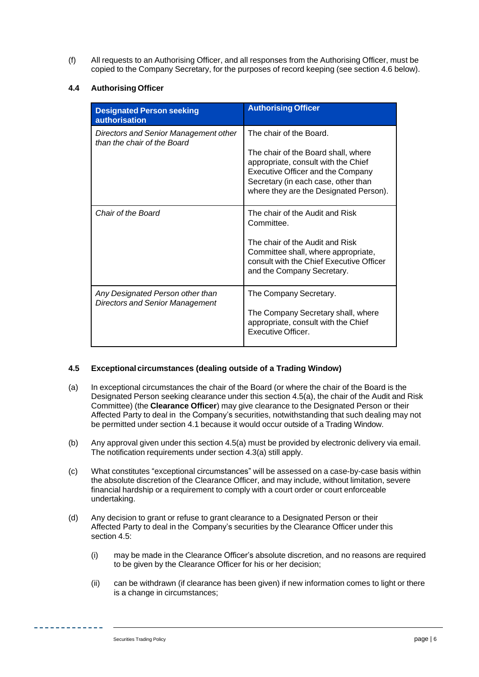(f) All requests to an Authorising Officer, and all responses from the Authorising Officer, must be copied to the Company Secretary, for the purposes of record keeping (see section 4.6 below).

# **4.4 Authorising Officer**

| <b>Designated Person seeking</b><br><b>authorisation</b>                   | <b>Authorising Officer</b>                                                                                                                                                                                                         |
|----------------------------------------------------------------------------|------------------------------------------------------------------------------------------------------------------------------------------------------------------------------------------------------------------------------------|
| Directors and Senior Management other<br>than the chair of the Board       | The chair of the Board.<br>The chair of the Board shall, where<br>appropriate, consult with the Chief<br><b>Executive Officer and the Company</b><br>Secretary (in each case, other than<br>where they are the Designated Person). |
| Chair of the Board                                                         | The chair of the Audit and Risk<br>Committee.<br>The chair of the Audit and Risk<br>Committee shall, where appropriate,<br>consult with the Chief Executive Officer<br>and the Company Secretary.                                  |
| Any Designated Person other than<br><b>Directors and Senior Management</b> | The Company Secretary.<br>The Company Secretary shall, where<br>appropriate, consult with the Chief<br>Executive Officer.                                                                                                          |

# **4.5 Exceptional circumstances (dealing outside of a Trading Window)**

- (a) In exceptional circumstances the chair of the Board (or where the chair of the Board is the Designated Person seeking clearance under this section 4.5(a), the chair of the Audit and Risk Committee) (the **Clearance Officer**) may give clearance to the Designated Person or their Affected Party to deal in the Company's securities, notwithstanding that such dealing may not be permitted under section 4.1 because it would occur outside of a Trading Window.
- (b) Any approval given under this section 4.5(a) must be provided by electronic delivery via email. The notification requirements under section 4.3(a) still apply.
- (c) What constitutes "exceptional circumstances" will be assessed on a case-by-case basis within the absolute discretion of the Clearance Officer, and may include, without limitation, severe financial hardship or a requirement to comply with a court order or court enforceable undertaking.
- (d) Any decision to grant or refuse to grant clearance to a Designated Person or their Affected Party to deal in the Company's securities by the Clearance Officer under this section 4.5:
	- (i) may be made in the Clearance Officer's absolute discretion, and no reasons are required to be given by the Clearance Officer for his or her decision;
	- (ii) can be withdrawn (if clearance has been given) if new information comes to light or there is a change in circumstances;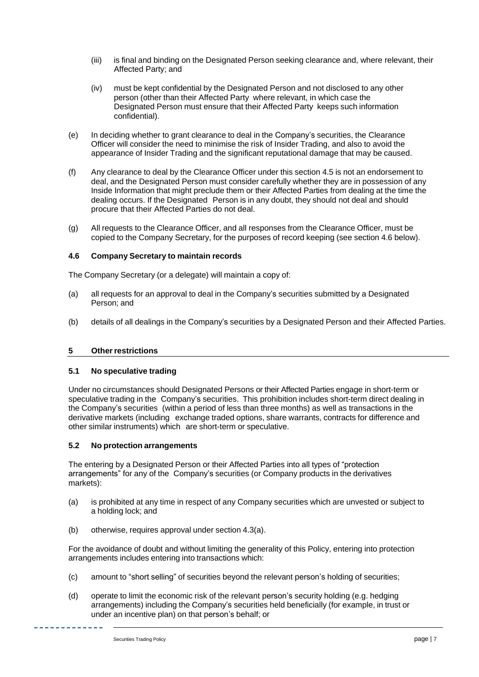- (iii) is final and binding on the Designated Person seeking clearance and, where relevant, their Affected Party; and
- (iv) must be kept confidential by the Designated Person and not disclosed to any other person (other than their Affected Party where relevant, in which case the Designated Person must ensure that their Affected Party keeps such information confidential).
- (e) In deciding whether to grant clearance to deal in the Company's securities, the Clearance Officer will consider the need to minimise the risk of Insider Trading, and also to avoid the appearance of Insider Trading and the significant reputational damage that may be caused.
- (f) Any clearance to deal by the Clearance Officer under this section 4.5 is not an endorsement to deal, and the Designated Person must consider carefully whether they are in possession of any Inside Information that might preclude them or their Affected Parties from dealing at the time the dealing occurs. If the Designated Person is in any doubt, they should not deal and should procure that their Affected Parties do not deal.
- (g) All requests to the Clearance Officer, and all responses from the Clearance Officer, must be copied to the Company Secretary, for the purposes of record keeping (see section 4.6 below).

# **4.6 Company Secretary to maintain records**

The Company Secretary (or a delegate) will maintain a copy of:

- (a) all requests for an approval to deal in the Company's securities submitted by a Designated Person; and
- (b) details of all dealings in the Company's securities by a Designated Person and their Affected Parties.

# **5 Otherrestrictions**

# **5.1 No speculative trading**

Under no circumstances should Designated Persons or their Affected Parties engage in short-term or speculative trading in the Company's securities. This prohibition includes short-term direct dealing in the Company's securities (within a period of less than three months) as well as transactions in the derivative markets (including exchange traded options, share warrants, contracts for difference and other similar instruments) which are short-term or speculative.

# **5.2 No protection arrangements**

The entering by a Designated Person or their Affected Parties into all types of "protection arrangements" for any of the Company's securities (or Company products in the derivatives markets):

- (a) is prohibited at any time in respect of any Company securities which are unvested or subject to a holding lock; and
- (b) otherwise, requires approval under section 4.3(a).

For the avoidance of doubt and without limiting the generality of this Policy, entering into protection arrangements includes entering into transactions which:

- (c) amount to "short selling" of securities beyond the relevant person's holding of securities;
- (d) operate to limit the economic risk of the relevant person's security holding (e.g. hedging arrangements) including the Company's securities held beneficially (for example, in trust or under an incentive plan) on that person's behalf; or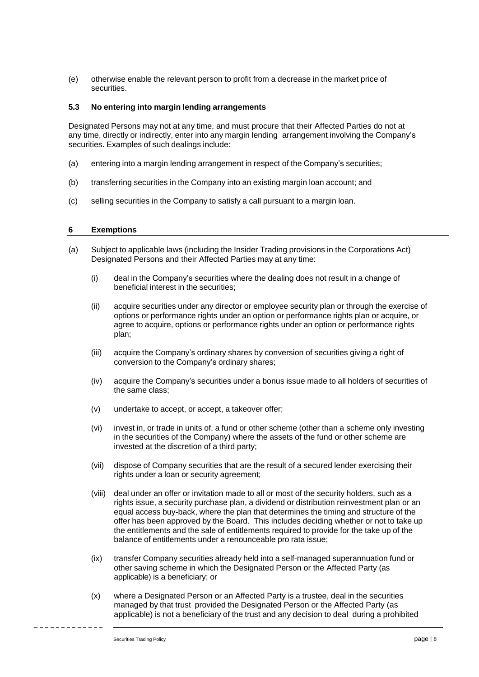(e) otherwise enable the relevant person to profit from a decrease in the market price of securities.

## **5.3 No entering into margin lending arrangements**

Designated Persons may not at any time, and must procure that their Affected Parties do not at any time, directly or indirectly, enter into any margin lending arrangement involving the Company's securities. Examples of such dealings include:

- (a) entering into a margin lending arrangement in respect of the Company's securities;
- (b) transferring securities in the Company into an existing margin loan account; and
- (c) selling securities in the Company to satisfy a call pursuant to a margin loan.

## **6 Exemptions**

- (a) Subject to applicable laws (including the Insider Trading provisions in the Corporations Act) Designated Persons and their Affected Parties may at any time:
	- (i) deal in the Company's securities where the dealing does not result in a change of beneficial interest in the securities;
	- (ii) acquire securities under any director or employee security plan or through the exercise of options or performance rights under an option or performance rights plan or acquire, or agree to acquire, options or performance rights under an option or performance rights plan;
	- (iii) acquire the Company's ordinary shares by conversion of securities giving a right of conversion to the Company's ordinary shares;
	- (iv) acquire the Company's securities under a bonus issue made to all holders of securities of the same class;
	- (v) undertake to accept, or accept, a takeover offer;
	- (vi) invest in, or trade in units of, a fund or other scheme (other than a scheme only investing in the securities of the Company) where the assets of the fund or other scheme are invested at the discretion of a third party;
	- (vii) dispose of Company securities that are the result of a secured lender exercising their rights under a loan or security agreement;
	- (viii) deal under an offer or invitation made to all or most of the security holders, such as a rights issue, a security purchase plan, a dividend or distribution reinvestment plan or an equal access buy-back, where the plan that determines the timing and structure of the offer has been approved by the Board. This includes deciding whether or not to take up the entitlements and the sale of entitlements required to provide for the take up of the balance of entitlements under a renounceable pro rata issue;
	- (ix) transfer Company securities already held into a self-managed superannuation fund or other saving scheme in which the Designated Person or the Affected Party (as applicable) is a beneficiary; or
	- (x) where a Designated Person or an Affected Party is a trustee, deal in the securities managed by that trust provided the Designated Person or the Affected Party (as applicable) is not a beneficiary of the trust and any decision to deal during a prohibited